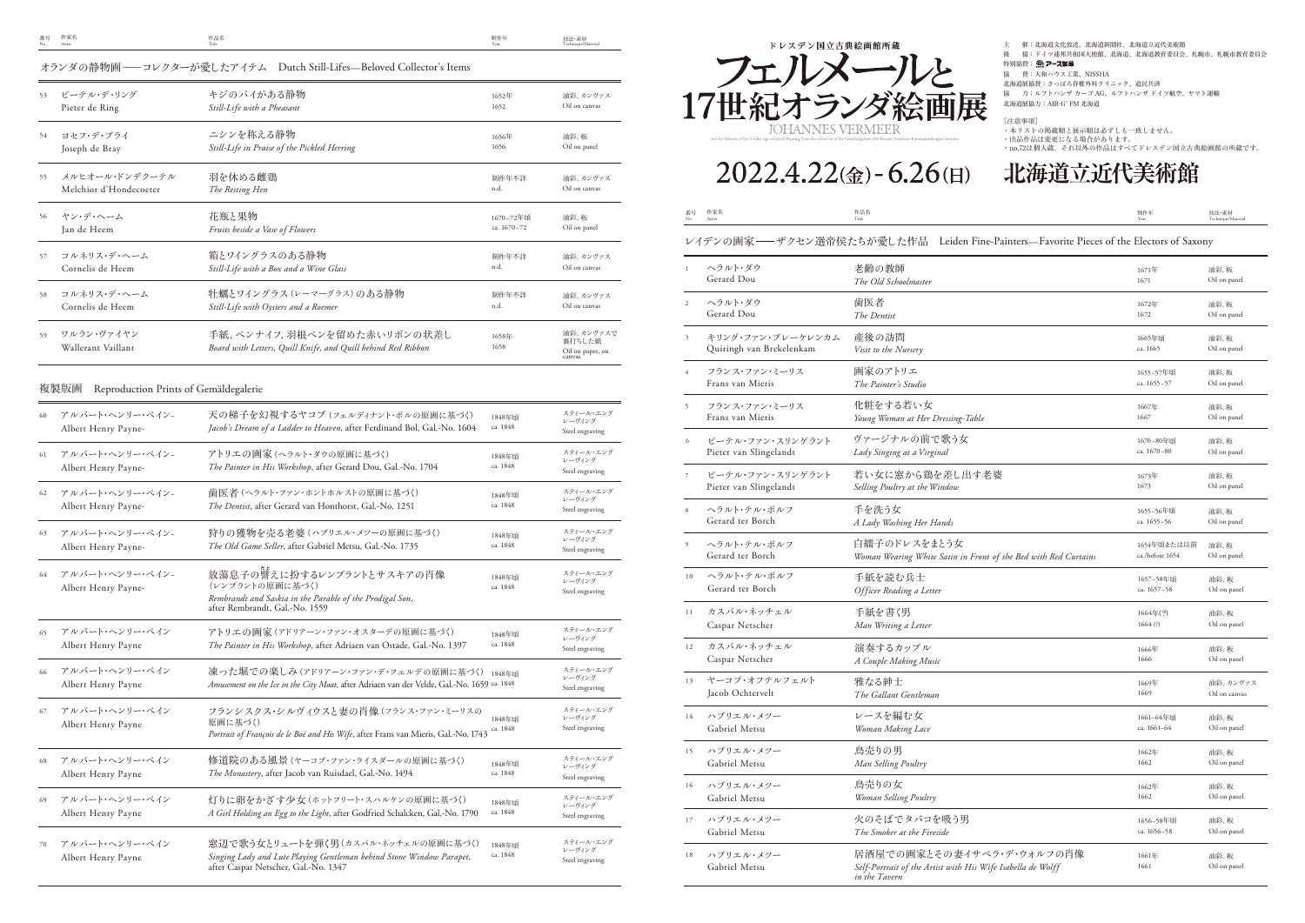- 
- ・本リストの掲載順と展示順は必ずしも一致しません。 ・出品作品は変更になる場合があります。 ・no.72は個人蔵、それ以外の作品はすべてドレスデン国立古典絵画館の所蔵です。

## 北海道立近代美術館

| 催:北海道文化放送、北海道新聞社、北海道立近代美術館<br>主<br>徬<br> 援:ドイツ連邦共和国大使館、北海道、北海道教育委員会、札幌市、札幌市教育委員会<br>特別協替: ? アース製薬                      |
|------------------------------------------------------------------------------------------------------------------------|
| - 替:大和ハウス工業.NISSHA<br>協<br>北海道展協替:さっぽろ脊椎外科クリニック、道民共済<br>協 ― 力:ルフトハンザ カーゴ AG、ルフトハンザ ドイツ航空、ヤマト運輸<br>北海道展協力:AIR-G' FM 北海道 |
| 「注意事項]                                                                                                                 |

No. Artist Title 番号 作家名 作品名

Year Technique/Material 制作年 技法・素材

| 番号             | 作家名<br>Artist                                                                              | 作品名<br>Title                                                                                              | 制作年<br>Year     | 技法·素材<br>Technique/Material |  |  |  |
|----------------|--------------------------------------------------------------------------------------------|-----------------------------------------------------------------------------------------------------------|-----------------|-----------------------------|--|--|--|
|                | レイデンの画家 ––– ザクセン選帝侯たちが愛した作品 Leiden Fine-Painters–Favorite Pieces of the Electors of Saxony |                                                                                                           |                 |                             |  |  |  |
| $\mathbf{1}$   | ヘラルト・ダウ                                                                                    | 老齢の教師                                                                                                     | 1671年           | 油彩、板                        |  |  |  |
|                | Gerard Dou                                                                                 | The Old Schoolmaster                                                                                      | 1671            | Oil on panel                |  |  |  |
| $\overline{2}$ | ヘラルト・ダウ                                                                                    | 歯医者                                                                                                       | 1672年           | 油彩、板                        |  |  |  |
|                | Gerard Dou                                                                                 | The Dentist                                                                                               | 1672            | Oil on panel                |  |  |  |
| $\mathbf{3}$   | キリング・ファン・ブレーケレンカム                                                                          | 産後の訪問                                                                                                     | 1665年頃          | 油彩、板                        |  |  |  |
|                | Quiringh van Brekelenkam                                                                   | Visit to the Nursery                                                                                      | ca. 1665        | Oil on panel                |  |  |  |
| $\overline{4}$ | フランス・ファン・ミーリス                                                                              | 画家のアトリエ                                                                                                   | 1655-57年頃       | 油彩、板                        |  |  |  |
|                | Frans van Mieris                                                                           | The Painter's Studio                                                                                      | ca. 1655-57     | Oil on panel                |  |  |  |
| 5              | フランス・ファン・ミーリス                                                                              | 化粧をする若い女                                                                                                  | 1667年           | 油彩、板                        |  |  |  |
|                | Frans van Mieris                                                                           | Young Woman at Her Dressing-Table                                                                         | 1667            | Oil on panel                |  |  |  |
| 6              | ピーテル・ファン・スリンゲラント                                                                           | ヴァージナルの前で歌う女                                                                                              | 1670-80年頃       | 油彩、板                        |  |  |  |
|                | Pieter van Slingelandt                                                                     | Lady Singing at a Virginal                                                                                | ca. 1670-80     | Oil on panel                |  |  |  |
| 7              | ピーテル・ファン・スリンゲラント                                                                           | 若い女に窓から鶏を差し出す老婆                                                                                           | 1673年           | 油彩、板                        |  |  |  |
|                | Pieter van Slingelandt                                                                     | Selling Poultry at the Window                                                                             | 1673            | Oil on panel                |  |  |  |
| 8              | ヘラルト・テル・ボルフ                                                                                | 手を洗う女                                                                                                     | 1655-56年頃       | 油彩、板                        |  |  |  |
|                | Gerard ter Borch                                                                           | A Lady Washing Her Hands                                                                                  | ca. 1655-56     | Oil on panel                |  |  |  |
| 9              | ヘラルト・テル・ボルフ                                                                                | 白繻子のドレスをまとう女                                                                                              | 1654年頃または以前     | 油彩、板                        |  |  |  |
|                | Gerard ter Borch                                                                           | Woman Wearing White Satin in Front of the Bed with Red Curtains                                           | ca./before 1654 | Oil on panel                |  |  |  |
| 10             | ヘラルト・テル・ボルフ                                                                                | 手紙を読む兵士                                                                                                   | 1657-58年頃       | 油彩、板                        |  |  |  |
|                | Gerard ter Borch                                                                           | Officer Reading a Letter                                                                                  | ca. 1657-58     | Oil on panel                |  |  |  |
| 11             | カスパル・ネッチェル                                                                                 | 手紙を書く男                                                                                                    | 1664年(?)        | 油彩、板                        |  |  |  |
|                | Caspar Netscher                                                                            | Man Writing a Letter                                                                                      | $1664$ (?)      | Oil on panel                |  |  |  |
| 12             | カスパル・ネッチェル                                                                                 | 演奏するカップル                                                                                                  | 1666年           | 油彩、板                        |  |  |  |
|                | Caspar Netscher                                                                            | A Couple Making Music                                                                                     | 1666            | Oil on panel                |  |  |  |
| 13             | ヤーコプ・オフテルフェルト                                                                              | 雅なる紳士                                                                                                     | 1669年           | 油彩、カンヴァス                    |  |  |  |
|                | Jacob Ochtervelt                                                                           | The Gallant Gentleman                                                                                     | 1669            | Oil on canvas               |  |  |  |
| 14             | ハブリエル・メツー                                                                                  | レースを編む女                                                                                                   | 1661-64年頃       | 油彩、板                        |  |  |  |
|                | Gabriel Metsu                                                                              | Woman Making Lace                                                                                         | ca. 1661-64     | Oil on panel                |  |  |  |
| 15             | ハブリエル・メツー                                                                                  | 鳥売りの男                                                                                                     | 1662年           | 油彩、板                        |  |  |  |
|                | Gabriel Metsu                                                                              | Man Selling Poultry                                                                                       | 1662            | Oil on panel                |  |  |  |
| 16             | ハブリエル・メツー                                                                                  | 鳥売りの女                                                                                                     | 1662年           | 油彩、板                        |  |  |  |
|                | Gabriel Metsu                                                                              | Woman Selling Poultry                                                                                     | 1662            | Oil on panel                |  |  |  |
| 17             | ハブリエル・メツー                                                                                  | 火のそばでタバコを吸う男                                                                                              | 1656-58年頃       | 油彩、板                        |  |  |  |
|                | Gabriel Metsu                                                                              | The Smoker at the Fireside                                                                                | ca. 1656-58     | Oil on panel                |  |  |  |
| 18             | ハブリエル・メツー<br>Gabriel Metsu                                                                 | 居酒屋での画家とその妻イサベラ・デ・ウォルフの肖像<br>Self-Portrait of the Artist with His Wife Isabella de Wolff<br>in the Tavern | 1661年<br>1661   | 油彩、板<br>Oil on panel        |  |  |  |

### オランダの静物画―コレクターが愛したアイテム Dutch Still-Lifes̶Beloved Collector's Items

| 53 | ピーテル・デ・リング             | キジのパイがある静物                                                   | 1652年       | 油彩、カンヴァス                             |
|----|------------------------|--------------------------------------------------------------|-------------|--------------------------------------|
|    | Pieter de Ring         | Still-Life with a Pheasant                                   | 1652        | Oil on canvas                        |
| 54 | ヨセフ・デ・ブライ              | ニシンを称える静物                                                    | 1656年       | 油彩、板                                 |
|    | Joseph de Bray         | Still-Life in Praise of the Pickled Herring                  | 1656        | Oil on panel                         |
| 55 | メルヒオール・ドンデクーテル         | 羽を休める雌鶏                                                      | 制作年不詳       | 油彩、カンヴァス                             |
|    | Melchior d'Hondecoeter | The Resting Hen                                              | n.d.        | Oil on canvas                        |
| 56 | ヤン・デ・ヘーム               | 花瓶と果物                                                        | 1670-72年頃   | 油彩、板                                 |
|    | Jan de Heem            | Fruits beside a Vase of Flowers                              | ca. 1670-72 | Oil on panel                         |
| 57 | コルネリス・デ・ヘーム            | 箱とワイングラスのある静物                                                | 制作年不詳       | 油彩、カンヴァス                             |
|    | Cornelis de Heem       | Still-Life with a Box and a Wine Glass                       | n.d.        | Oil on canvas                        |
| 58 | コルネリス・デ・ヘーム            | 牡蠣とワイングラス (レーマーグラス) のある静物                                    | 制作年不詳       | 油彩、カンヴァス                             |
|    | Cornelis de Heem       | Still-Life with Oysters and a Roemer                         | n.d.        | Oil on canvas                        |
| 59 | ワルラン・ヴァイヤン             | 手紙、ペンナイフ、羽根ペンを留めた赤いリボンの状差し                                   | 1658年       | 油彩、カンヴァスで                            |
|    | Wallerant Vaillant     | Board with Letters, Quill Knife, and Quill behind Red Ribbon | 1658        | 裏打ちした紙<br>Oil on paper, on<br>canvas |

### 複製版画 Reproduction Prints of Gemäldegalerie

| 60 | アルバート・ヘンリー・ペイン-<br>Albert Henry Payne- | 天の梯子を幻視するヤコブ(フェルディナント・ボルの原画に基づく)<br>Jacob's Dream of a Ladder to Heaven, after Ferdinand Bol, Gal.-No. 1604                                        | 1848年頃<br>ca. 1848 | スティール・エング<br>レーヴィング<br>Steel engraving |
|----|----------------------------------------|----------------------------------------------------------------------------------------------------------------------------------------------------|--------------------|----------------------------------------|
| 61 | アルバート・ヘンリー・ペイン-<br>Albert Henry Payne- | アトリエの画家 (ヘラルト・ダウの原画に基づく)<br>The Painter in His Workshop, after Gerard Dou, Gal.-No. 1704                                                           | 1848年頃<br>ca. 1848 | スティール・エング<br>レーヴィング<br>Steel engraving |
| 62 | アルバート・ヘンリー・ペイン-<br>Albert Henry Payne- | 歯医者 (ヘラルト・ファン・ホントホルストの原画に基づく)<br>The Dentist, after Gerard van Honthorst, Gal.-No. 1251                                                            | 1848年頃<br>ca. 1848 | スティール・エング<br>レーヴィング<br>Steel engraving |
| 63 | アルバート・ヘンリー・ペイン-<br>Albert Henry Payne- | 狩りの獲物を売る老婆 (ハブリエル・メツーの原画に基づく)<br>The Old Game Seller, after Gabriel Metsu, Gal.-No. 1735                                                           | 1848年頃<br>ca. 1848 | スティール・エング<br>レーヴィング<br>Steel engraving |
| 64 | アルバート・ヘンリー・ペイン-<br>Albert Henry Payne- | 放蕩息子の譬えに扮するレンブラントとサスキアの肖像<br>(レンブラントの原画に基づく)<br>Rembrandt and Saskia in the Parable of the Prodigal Son,<br>after Rembrandt, Gal.-No. 1559         | 1848年頃<br>ca. 1848 | スティール・エング<br>レーヴィング<br>Steel engraving |
| 65 | アルバート・ヘンリー・ペイン<br>Albert Henry Payne   | アトリエの画家 (アドリアーン・ファン・オスターデの原画に基づく)<br>The Painter in His Workshop, after Adriaen van Ostade, Gal.-No. 1397                                          | 1848年頃<br>ca. 1848 | スティール・エング<br>レーヴィング<br>Steel engraving |
| 66 | アルバート・ヘンリー・ペイン<br>Albert Henry Payne   | 凍った堀での楽しみ (アドリアーン・ファン・デ・フェルデの原画に基づく)<br>Amusement on the Ice in the City Moat, after Adriaen van der Velde, Gal.-No. 1659 ca. 1848                 | 1848年頃             | スティール・エング<br>レーヴィング<br>Steel engraving |
| 67 | アルバート・ヘンリー・ペイン<br>Albert Henry Payne   | フランシスクス・シルヴィウスと妻の肖像(フランス・ファン・ミーリスの<br>原画に基づく)<br>Portrait of François de le Boë and His Wife, after Frans van Mieris, Gal.-No. 1743                | 1848年頃<br>ca. 1848 | スティール・エング<br>レーヴィング<br>Steel engraving |
| 68 | アルバート・ヘンリー・ペイン<br>Albert Henry Payne   | 修道院のある風景(ヤーコプ・ファン・ライスダールの原画に基づく)<br>The Monastery, after Jacob van Ruisdael, Gal.-No. 1494                                                         | 1848年頃<br>ca. 1848 | スティール・エング<br>レーヴィング<br>Steel engraving |
| 69 | アルバート・ヘンリー・ペイン<br>Albert Henry Payne   | 灯りに卵をかざす少女 (ホットフリート・スハルケンの原画に基づく)<br>A Girl Holding an Egg to the Light, after Godfried Schalcken, Gal.-No. 1790                                   | 1848年頃<br>ca. 1848 | スティール・エング<br>レーヴィング<br>Steel engraving |
| 70 | アルバート・ヘンリー・ペイン<br>Albert Henry Payne   | 窓辺で歌う女とリュートを弾く男(カスパル・ネッチェルの原画に基づく)<br>Singing Lady and Lute Playing Gentleman behind Stone Window Parapet,<br>after Caspar Netscher, Gal.-No. 1347 | 1848年頃<br>ca. 1848 | スティール・エング<br>レーヴィング<br>Steel engraving |



# $2022.4.22$ (金) - 6.26(日)